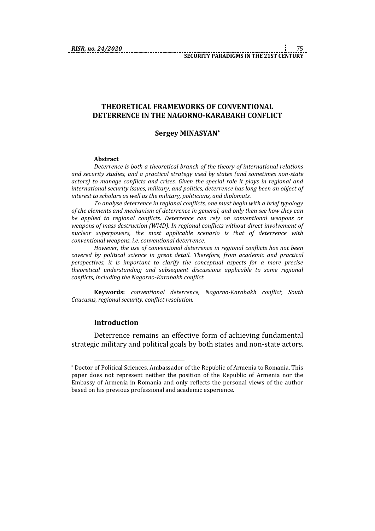# **THEORETICAL FRAMEWORKS OF CONVENTIONAL DETERRENCE IN THE NAGORNO-KARABAKH CONFLICT**

# **Sergey MINASYAN\***

#### **Abstract**

*Deterrence is both a theoretical branch of the theory of international relations and security studies, and a practical strategy used by states (and sometimes non-state actors) to manage conflicts and crises. Given the special role it plays in regional and international security issues, military, and politics, deterrence has long been an object of interest to scholars as well as the military, politicians, and diplomats.*

*To analyse deterrence in regional conflicts, one must begin with a brief typology of the elements and mechanism of deterrence in general, and only then see how they can be applied to regional conflicts. Deterrence can rely on conventional weapons or weapons of mass destruction (WMD). In regional conflicts without direct involvement of nuclear superpowers, the most applicable scenario is that of deterrence with conventional weapons, i.e. conventional deterrence.*

*However, the use of conventional deterrence in regional conflicts has not been covered by political science in great detail. Therefore, from academic and practical perspectives, it is important to clarify the conceptual aspects for a more precise theoretical understanding and subsequent discussions applicable to some regional conflicts, including the Nagorno-Karabakh conflict.*

**Keywords:** *conventional deterrence, Nagorno-Karabakh conflict, South Caucasus, regional security, conflict resolution.*

### **Introduction**

1

Deterrence remains an effective form of achieving fundamental strategic military and political goals by both states and non-state actors.

<sup>\*</sup> Doctor of Political Sciences, Ambassador of the Republic of Armenia to Romania. This paper does not represent neither the position of the Republic of Armenia nor the Embassy of Armenia in Romania and only reflects the personal views of the author based on his previous professional and academic experience.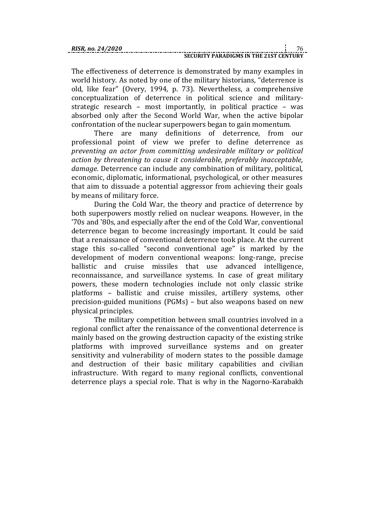The effectiveness of deterrence is demonstrated by many examples in world history. As noted by one of the military historians, "deterrence is old, like fear" (Overy, 1994, p. 73). Nevertheless, a comprehensive conceptualization of deterrence in political science and militarystrategic research – most importantly, in political practice – was absorbed only after the Second World War, when the active bipolar confrontation of the nuclear superpowers began to gain momentum.

There are many definitions of deterrence, from our professional point of view we prefer to define deterrence as *preventing an actor from committing undesirable military or political action by threatening to cause it considerable, preferably inacceptable, damage.* Deterrence can include any combination of military, political, economic, diplomatic, informational, psychological, or other measures that aim to dissuade a potential aggressor from achieving their goals by means of military force.

During the Cold War, the theory and practice of deterrence by both superpowers mostly relied on nuclear weapons. However, in the '70s and '80s, and especially after the end of the Cold War, conventional deterrence began to become increasingly important. It could be said that a renaissance of conventional deterrence took place. At the current stage this so-called "second conventional age" is marked by the development of modern conventional weapons: long-range, precise ballistic and cruise missiles that use advanced intelligence, reconnaissance, and surveillance systems. In case of great military powers, these modern technologies include not only classic strike platforms – ballistic and cruise missiles, artillery systems, other precision-guided munitions (PGMs) – but also weapons based on new physical principles.

The military competition between small countries involved in a regional conflict after the renaissance of the conventional deterrence is mainly based on the growing destruction capacity of the existing strike platforms with improved surveillance systems and on greater sensitivity and vulnerability of modern states to the possible damage and destruction of their basic military capabilities and civilian infrastructure. With regard to many regional conflicts, conventional deterrence plays a special role. That is why in the Nagorno-Karabakh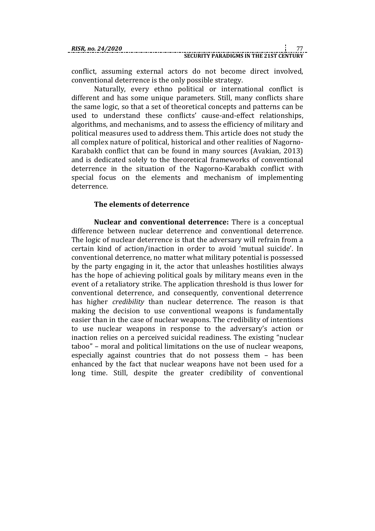conflict, assuming external actors do not become direct involved, conventional deterrence is the only possible strategy.

Naturally, every ethno political or international conflict is different and has some unique parameters. Still, many conflicts share the same logic, so that a set of theoretical concepts and patterns can be used to understand these conflicts' cause-and-effect relationships, algorithms, and mechanisms, and to assess the efficiency of military and political measures used to address them. This article does not study the all complex nature of political, historical and other realities of Nagorno-Karabakh conflict that can be found in many sources (Avakian, 2013) and is dedicated solely to the theoretical frameworks of conventional deterrence in the situation of the Nagorno-Karabakh conflict with special focus on the elements and mechanism of implementing deterrence.

# **The elements of deterrence**

**Nuclear and conventional deterrence:** There is a conceptual difference between nuclear deterrence and conventional deterrence. The logic of nuclear deterrence is that the adversary will refrain from a certain kind of action/inaction in order to avoid 'mutual suicide'. In conventional deterrence, no matter what military potential is possessed by the party engaging in it, the actor that unleashes hostilities always has the hope of achieving political goals by military means even in the event of a retaliatory strike. The application threshold is thus lower for conventional deterrence, and consequently, conventional deterrence has higher *credibility* than nuclear deterrence. The reason is that making the decision to use conventional weapons is fundamentally easier than in the case of nuclear weapons. The credibility of intentions to use nuclear weapons in response to the adversary's action or inaction relies on a perceived suicidal readiness. The existing "nuclear taboo" – moral and political limitations on the use of nuclear weapons, especially against countries that do not possess them – has been enhanced by the fact that nuclear weapons have not been used for a long time. Still, despite the greater credibility of conventional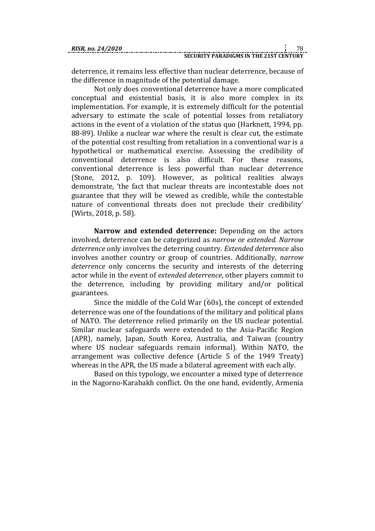deterrence, it remains less effective than nuclear deterrence, because of the difference in magnitude of the potential damage.

Not only does conventional deterrence have a more complicated conceptual and existential basis, it is also more complex in its implementation. For example, it is extremely difficult for the potential adversary to estimate the scale of potential losses from retaliatory actions in the event of a violation of the status quo (Harknett, 1994, pp. 88-89). Unlike a nuclear war where the result is clear cut, the estimate of the potential cost resulting from retaliation in a conventional war is a hypothetical or mathematical exercise. Assessing the credibility of conventional deterrence is also difficult. For these reasons, conventional deterrence is less powerful than nuclear deterrence (Stone, 2012, p. 109). However, as political realities always demonstrate, 'the fact that nuclear threats are incontestable does not guarantee that they will be viewed as credible, while the contestable nature of conventional threats does not preclude their credibility' (Wirts, 2018, p. 58).

**Narrow and extended deterrence:** Depending on the actors involved, deterrence can be categorized as *narrow* or *extended. Narrow deterrence* only involves the deterring country. *Extended deterrence* also involves another country or group of countries. Additionally, *narrow deterrence* only concerns the security and interests of the deterring actor while in the event of *extended deterrence*, other players commit to the deterrence, including by providing military and/or political guarantees.

Since the middle of the Cold War  $(60s)$ , the concept of extended deterrence was one of the foundations of the military and political plans of NATO. The deterrence relied primarily on the US nuclear potential. Similar nuclear safeguards were extended to the Asia-Pacific Region (APR), namely, Japan, South Korea, Australia, and Taiwan (country where US nuclear safeguards remain informal). Within NATO, the arrangement was collective defence (Article 5 of the 1949 Treaty) whereas in the APR, the US made a bilateral agreement with each ally.

Based on this typology, we encounter a mixed type of deterrence in the Nagorno-Karabakh conflict. On the one hand, evidently, Armenia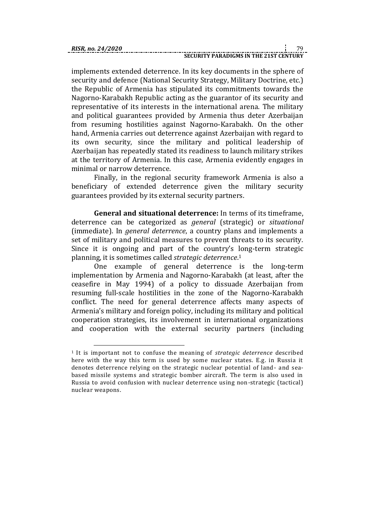1

implements extended deterrence. In its key documents in the sphere of security and defence (National Security Strategy, Military Doctrine, etc.) the Republic of Armenia has stipulated its commitments towards the Nagorno-Karabakh Republic acting as the guarantor of its security and representative of its interests in the international arena. The military and political guarantees provided by Armenia thus deter Azerbaijan from resuming hostilities against Nagorno-Karabakh. On the other hand, Armenia carries out deterrence against Azerbaijan with regard to its own security, since the military and political leadership of Azerbaijan has repeatedly stated its readiness to launch military strikes at the territory of Armenia. In this case, Armenia evidently engages in minimal or narrow deterrence.

Finally, in the regional security framework Armenia is also a beneficiary of extended deterrence given the military security guarantees provided by its external security partners.

**General and situational deterrence:** In terms of its timeframe, deterrence can be categorized as *general* (strategic) or *situational* (immediate). In *general deterrence*, a country plans and implements a set of military and political measures to prevent threats to its security. Since it is ongoing and part of the country's long-term strategic planning, it is sometimes called *strategic deterrence*. 1

One example of general deterrence is the long-term implementation by Armenia and Nagorno-Karabakh (at least, after the ceasefire in May 1994) of a policy to dissuade Azerbaijan from resuming full-scale hostilities in the zone of the Nagorno-Karabakh conflict. The need for general deterrence affects many aspects of Armenia's military and foreign policy, including its military and political cooperation strategies, its involvement in international organizations and cooperation with the external security partners (including

<sup>1</sup> It is important not to confuse the meaning of *strategic deterrence* described here with the way this term is used by some nuclear states. E.g. in Russia it denotes deterrence relying on the strategic nuclear potential of land- and seabased missile systems and strategic bomber aircraft. The term is also used in Russia to avoid confusion with nuclear deterrence using non-strategic (tactical) nuclear weapons.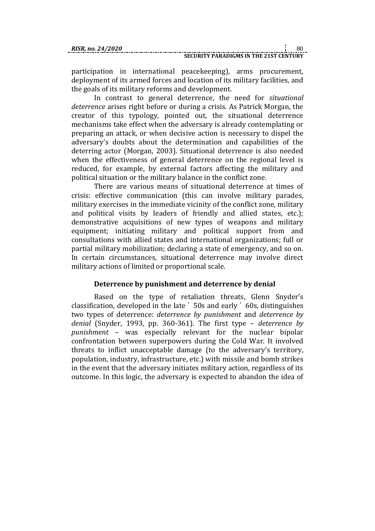participation in international peacekeeping), arms procurement, deployment of its armed forces and location of its military facilities, and the goals of its military reforms and development.

In contrast to general deterrence, the need for *situational deterrence* arises right before or during a crisis. As Patrick Morgan, the creator of this typology, pointed out, the situational deterrence mechanisms take effect when the adversary is already contemplating or preparing an attack, or when decisive action is necessary to dispel the adversary's doubts about the determination and capabilities of the deterring actor (Morgan, 2003). Situational deterrence is also needed when the effectiveness of general deterrence on the regional level is reduced, for example, by external factors affecting the military and political situation or the military balance in the conflict zone.

There are various means of situational deterrence at times of crisis: effective communication (this can involve military parades, military exercises in the immediate vicinity of the conflict zone, military and political visits by leaders of friendly and allied states, etc.); demonstrative acquisitions of new types of weapons and military equipment; initiating military and political support from and consultations with allied states and international organizations; full or partial military mobilization; declaring a state of emergency, and so on. In certain circumstances, situational deterrence may involve direct military actions of limited or proportional scale.

# **Deterrence by punishment and deterrence by denial**

Based on the type of retaliation threats, Glenn Snyder's classification, developed in the late ՚ 50s and early ՚ 60s, distinguishes two types of deterrence: *deterrence by punishment* and *deterrence by denial* (Snyder, 1993, pp. 360-361). The first type – *deterrence by punishment* – was especially relevant for the nuclear bipolar confrontation between superpowers during the Cold War. It involved threats to inflict unacceptable damage (to the adversary's territory, population, industry, infrastructure, etc.) with missile and bomb strikes in the event that the adversary initiates military action, regardless of its outcome. In this logic, the adversary is expected to abandon the idea of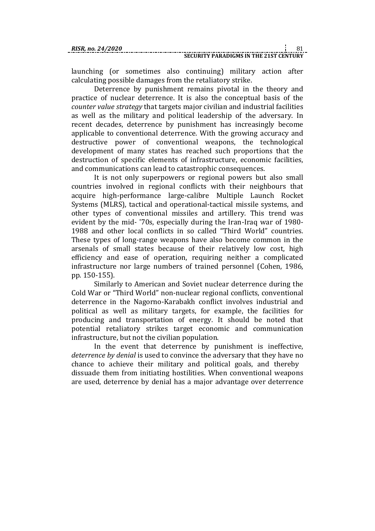launching (or sometimes also continuing) military action after calculating possible damages from the retaliatory strike.

Deterrence by punishment remains pivotal in the theory and practice of nuclear deterrence. It is also the conceptual basis of the *counter value strategy* that targets major civilian and industrial facilities as well as the military and political leadership of the adversary. In recent decades, deterrence by punishment has increasingly become applicable to conventional deterrence. With the growing accuracy and destructive power of conventional weapons, the technological development of many states has reached such proportions that the destruction of specific elements of infrastructure, economic facilities, and communications can lead to catastrophic consequences.

It is not only superpowers or regional powers but also small countries involved in regional conflicts with their neighbours that acquire high-performance large-calibre Multiple Launch Rocket Systems (MLRS), tactical and operational-tactical missile systems, and other types of conventional missiles and artillery. This trend was evident by the mid- '70s, especially during the Iran-Iraq war of 1980- 1988 and other local conflicts in so called "Third World" countries. These types of long-range weapons have also become common in the arsenals of small states because of their relatively low cost, high efficiency and ease of operation, requiring neither a complicated infrastructure nor large numbers of trained personnel (Cohen, 1986, pp. 150-155).

Similarly to American and Soviet nuclear deterrence during the Cold War or "Third World" non-nuclear regional conflicts, conventional deterrence in the Nagorno-Karabakh conflict involves industrial and political as well as military targets, for example, the facilities for producing and transportation of energy. It should be noted that potential retaliatory strikes target economic and communication infrastructure, but not the civilian population.

In the event that deterrence by punishment is ineffective, *deterrence by denial* is used to convince the adversary that they have no chance to achieve their military and political goals, and thereby dissuade them from initiating hostilities. When conventional weapons are used, deterrence by denial has a major advantage over deterrence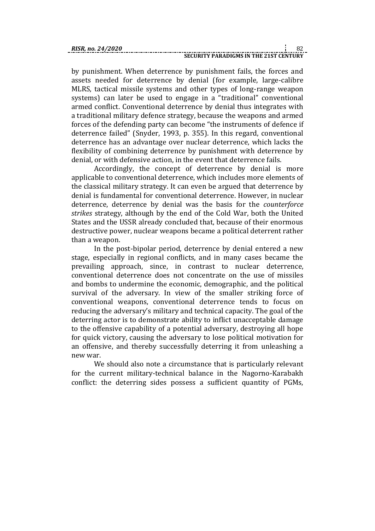by punishment. When deterrence by punishment fails, the forces and assets needed for deterrence by denial (for example, large-calibre MLRS, tactical missile systems and other types of long-range weapon systems) can later be used to engage in a "traditional" conventional armed conflict. Conventional deterrence by denial thus integrates with a traditional military defence strategy, because the weapons and armed forces of the defending party can become "the instruments of defence if deterrence failed" (Snyder, 1993, p. 355). In this regard, conventional deterrence has an advantage over nuclear deterrence, which lacks the flexibility of combining deterrence by punishment with deterrence by denial, or with defensive action, in the event that deterrence fails.

Accordingly, the concept of deterrence by denial is more applicable to conventional deterrence, which includes more elements of the classical military strategy. It can even be argued that deterrence by denial is fundamental for conventional deterrence. However, in nuclear deterrence, deterrence by denial was the basis for the *counterforce strikes* strategy, although by the end of the Cold War, both the United States and the USSR already concluded that, because of their enormous destructive power, nuclear weapons became a political deterrent rather than a weapon.

In the post-bipolar period, deterrence by denial entered a new stage, especially in regional conflicts, and in many cases became the prevailing approach, since, in contrast to nuclear deterrence, conventional deterrence does not concentrate on the use of missiles and bombs to undermine the economic, demographic, and the political survival of the adversary. In view of the smaller striking force of conventional weapons, conventional deterrence tends to focus on reducing the adversary's military and technical capacity. The goal of the deterring actor is to demonstrate ability to inflict unacceptable damage to the offensive capability of a potential adversary, destroying all hope for quick victory, causing the adversary to lose political motivation for an offensive, and thereby successfully deterring it from unleashing a new war.

We should also note a circumstance that is particularly relevant for the current military-technical balance in the Nagorno-Karabakh conflict: the deterring sides possess a sufficient quantity of PGMs,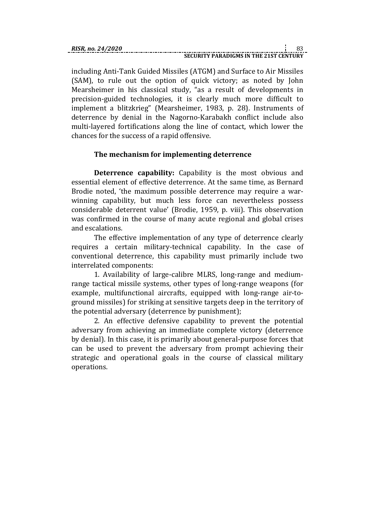including Anti-Tank Guided Missiles (ATGM) and Surface to Air Missiles (SAM), to rule out the option of quick victory; as noted by John Mearsheimer in his classical study, "as a result of developments in precision-guided technologies, it is clearly much more difficult to implement a blitzkrieg" (Mearsheimer, 1983, p. 28). Instruments of deterrence by denial in the Nagorno-Karabakh conflict include also multi-layered fortifications along the line of contact, which lower the chances for the success of a rapid offensive.

# **The mechanism for implementing deterrence**

**Deterrence capability:** Capability is the most obvious and essential element of effective deterrence. At the same time, as Bernard Brodie noted, 'the maximum possible deterrence may require a warwinning capability, but much less force can nevertheless possess considerable deterrent value' (Brodie, 1959, p. viii). This observation was confirmed in the course of many acute regional and global crises and escalations.

The effective implementation of any type of deterrence clearly requires a certain military-technical capability. In the case of conventional deterrence, this capability must primarily include two interrelated components:

1. Availability of large-calibre MLRS, long-range and mediumrange tactical missile systems, other types of long-range weapons (for example, multifunctional aircrafts, equipped with long-range air-toground missiles) for striking at sensitive targets deep in the territory of the potential adversary (deterrence by punishment);

2. An effective defensive capability to prevent the potential adversary from achieving an immediate complete victory (deterrence by denial). In this case, it is primarily about general-purpose forces that can be used to prevent the adversary from prompt achieving their strategic and operational goals in the course of classical military operations.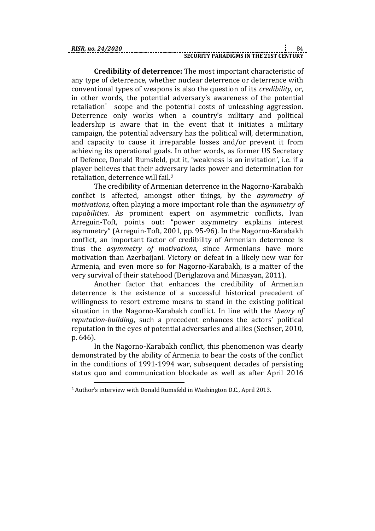<u>.</u>

**Credibility of deterrence:** The most important characteristic of any type of deterrence, whether nuclear deterrence or deterrence with conventional types of weapons is also the question of its *credibility*, or, in other words, the potential adversary's awareness of the potential retaliation<sup>'</sup> scope and the potential costs of unleashing aggression. Deterrence only works when a country's military and political leadership is aware that in the event that it initiates a military campaign, the potential adversary has the political will, determination, and capacity to cause it irreparable losses and/or prevent it from achieving its operational goals. In other words, as former US Secretary of Defence, Donald Rumsfeld, put it, 'weakness is an invitation', i.e. if a player believes that their adversary lacks power and determination for retaliation, deterrence will fail.<sup>2</sup>

The credibility of Armenian deterrence in the Nagorno-Karabakh conflict is affected, amongst other things, by the *asymmetry of motivations*, often playing a more important role than the *asymmetry of capabilities*. As prominent expert on asymmetric conflicts, Ivan Arreguin-Toft, points out: "power asymmetry explains interest asymmetry" (Arreguin-Toft, 2001, pp. 95-96). In the Nagorno-Karabakh conflict, an important factor of credibility of Armenian deterrence is thus the *asymmetry of motivations*, since Armenians have more motivation than Azerbaijani. Victory or defeat in a likely new war for Armenia, and even more so for Nagorno-Karabakh, is a matter of the very survival of their statehood (Deriglazova and Minasyan, 2011).

Another factor that enhances the credibility of Armenian deterrence is the existence of a successful historical precedent of willingness to resort extreme means to stand in the existing political situation in the Nagorno-Karabakh conflict. In line with the *theory of reputation-building*, such a precedent enhances the actors' political reputation in the eyes of potential adversaries and allies (Sechser, 2010, p. 646).

In the Nagorno-Karabakh conflict, this phenomenon was clearly demonstrated by the ability of Armenia to bear the costs of the conflict in the conditions of 1991-1994 war, subsequent decades of persisting status quo and communication blockade as well as after April 2016

<sup>2</sup> Author's interview with Donald Rumsfeld in Washington D.C., April 2013.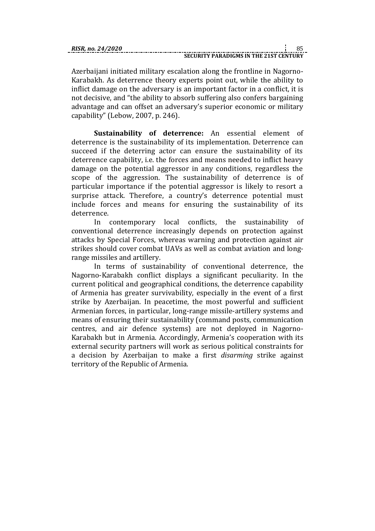Azerbaijani initiated military escalation along the frontline in Nagorno-Karabakh. As deterrence theory experts point out, while the ability to inflict damage on the adversary is an important factor in a conflict, it is not decisive, and "the ability to absorb suffering also confers bargaining advantage and can offset an adversary's superior economic or military capability" (Lebow, 2007, p. 246).

**Sustainability of deterrence:** An essential element of deterrence is the sustainability of its implementation. Deterrence can succeed if the deterring actor can ensure the sustainability of its deterrence capability, i.e. the forces and means needed to inflict heavy damage on the potential aggressor in any conditions, regardless the scope of the aggression. The sustainability of deterrence is of particular importance if the potential aggressor is likely to resort a surprise attack. Therefore, a country's deterrence potential must include forces and means for ensuring the sustainability of its deterrence.

In contemporary local conflicts, the sustainability of conventional deterrence increasingly depends on protection against attacks by Special Forces, whereas warning and protection against air strikes should cover combat UAVs as well as combat aviation and longrange missiles and artillery.

In terms of sustainability of conventional deterrence, the Nagorno-Karabakh conflict displays a significant peculiarity. In the current political and geographical conditions, the deterrence capability of Armenia has greater survivability, especially in the event of a first strike by Azerbaijan. In peacetime, the most powerful and sufficient Armenian forces, in particular, long-range missile-artillery systems and means of ensuring their sustainability (command posts, communication centres, and air defence systems) are not deployed in Nagorno-Karabakh but in Armenia. Accordingly, Armenia's cooperation with its external security partners will work as serious political constraints for a decision by Azerbaijan to make a first *disarming* strike against territory of the Republic of Armenia.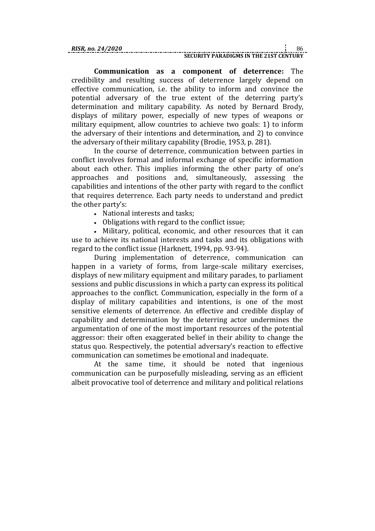**Communication as a component of deterrence:** The credibility and resulting success of deterrence largely depend on effective communication, i.e. the ability to inform and convince the potential adversary of the true extent of the deterring party's determination and military capability. As noted by Bernard Brody, displays of military power, especially of new types of weapons or military equipment, allow countries to achieve two goals: 1) to inform the adversary of their intentions and determination, and 2) to convince the adversary of their military capability (Brodie, 1953, p. 281).

In the course of deterrence, communication between parties in conflict involves formal and informal exchange of specific information about each other. This implies informing the other party of one's approaches and positions and, simultaneously, assessing the capabilities and intentions of the other party with regard to the conflict that requires deterrence. Each party needs to understand and predict the other party's:

- National interests and tasks;
- Obligations with regard to the conflict issue;

 Military, political, economic, and other resources that it can use to achieve its national interests and tasks and its obligations with regard to the conflict issue (Harknett, 1994, pp. 93-94).

During implementation of deterrence, communication can happen in a variety of forms, from large-scale military exercises, displays of new military equipment and military parades, to parliament sessions and public discussions in which a party can express its political approaches to the conflict. Communication, especially in the form of a display of military capabilities and intentions, is one of the most sensitive elements of deterrence. An effective and credible display of capability and determination by the deterring actor undermines the argumentation of one of the most important resources of the potential aggressor: their often exaggerated belief in their ability to change the status quo. Respectively, the potential adversary's reaction to effective communication can sometimes be emotional and inadequate.

At the same time, it should be noted that ingenious communication can be purposefully misleading, serving as an efficient albeit provocative tool of deterrence and military and political relations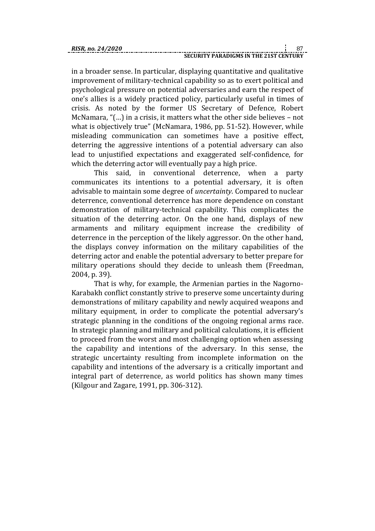in a broader sense. In particular, displaying quantitative and qualitative improvement of military-technical capability so as to exert political and psychological pressure on potential adversaries and earn the respect of one's allies is a widely practiced policy, particularly useful in times of crisis. As noted by the former US Secretary of Defence, Robert McNamara, "(…) in a crisis, it matters what the other side believes – not what is objectively true" (McNamara, 1986, pp. 51-52). However, while misleading communication can sometimes have a positive effect, deterring the aggressive intentions of a potential adversary can also lead to unjustified expectations and exaggerated self-confidence, for which the deterring actor will eventually pay a high price.

This said, in conventional deterrence, when a party communicates its intentions to a potential adversary, it is often advisable to maintain some degree of *uncertainty*. Compared to nuclear deterrence, conventional deterrence has more dependence on constant demonstration of military-technical capability. This complicates the situation of the deterring actor. On the one hand, displays of new armaments and military equipment increase the credibility of deterrence in the perception of the likely aggressor. On the other hand, the displays convey information on the military capabilities of the deterring actor and enable the potential adversary to better prepare for military operations should they decide to unleash them (Freedman, 2004, p. 39).

That is why, for example, the Armenian parties in the Nagorno-Karabakh conflict constantly strive to preserve some uncertainty during demonstrations of military capability and newly acquired weapons and military equipment, in order to complicate the potential adversary's strategic planning in the conditions of the ongoing regional arms race. In strategic planning and military and political calculations, it is efficient to proceed from the worst and most challenging option when assessing the capability and intentions of the adversary. In this sense, the strategic uncertainty resulting from incomplete information on the capability and intentions of the adversary is a critically important and integral part of deterrence, as world politics has shown many times (Kilgour and Zagare, 1991, pp. 306-312).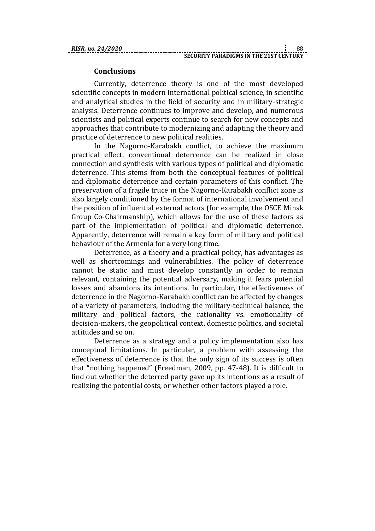# **Conclusions**

Currently, deterrence theory is one of the most developed scientific concepts in modern international political science, in scientific and analytical studies in the field of security and in military-strategic analysis. Deterrence continues to improve and develop, and numerous scientists and political experts continue to search for new concepts and approaches that contribute to modernizing and adapting the theory and practice of deterrence to new political realities.

In the Nagorno-Karabakh conflict, to achieve the maximum practical effect, conventional deterrence can be realized in close connection and synthesis with various types of political and diplomatic deterrence. This stems from both the conceptual features of political and diplomatic deterrence and certain parameters of this conflict. The preservation of a fragile truce in the Nagorno-Karabakh conflict zone is also largely conditioned by the format of international involvement and the position of influential external actors (for example, the OSCE Minsk Group Co-Chairmanship), which allows for the use of these factors as part of the implementation of political and diplomatic deterrence. Apparently, deterrence will remain a key form of military and political behaviour of the Armenia for a very long time.

Deterrence, as a theory and a practical policy, has advantages as well as shortcomings and vulnerabilities. The policy of deterrence cannot be static and must develop constantly in order to remain relevant, containing the potential adversary, making it fears potential losses and abandons its intentions. In particular, the effectiveness of deterrence in the Nagorno-Karabakh conflict can be affected by changes of a variety of parameters, including the military-technical balance, the military and political factors, the rationality vs. emotionality of decision-makers, the geopolitical context, domestic politics, and societal attitudes and so on.

Deterrence as a strategy and a policy implementation also has conceptual limitations. In particular, a problem with assessing the effectiveness of deterrence is that the only sign of its success is often that "nothing happened" (Freedman, 2009, pp. 47-48). It is difficult to find out whether the deterred party gave up its intentions as a result of realizing the potential costs, or whether other factors played a role.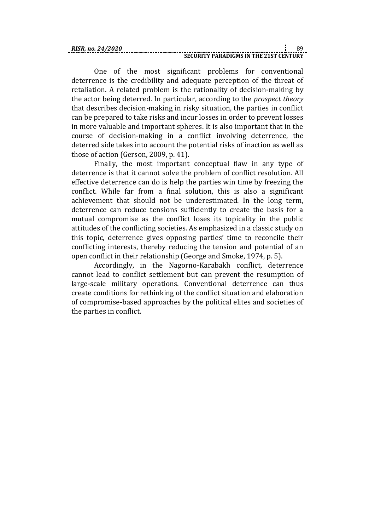One of the most significant problems for conventional deterrence is the credibility and adequate perception of the threat of retaliation. A related problem is the rationality of decision-making by the actor being deterred. In particular, according to the *prospect theory* that describes decision-making in risky situation, the parties in conflict can be prepared to take risks and incur losses in order to prevent losses in more valuable and important spheres. It is also important that in the course of decision-making in a conflict involving deterrence, the deterred side takes into account the potential risks of inaction as well as those of action (Gerson, 2009, p. 41).

Finally, the most important conceptual flaw in any type of deterrence is that it cannot solve the problem of conflict resolution. All effective deterrence can do is help the parties win time by freezing the conflict. While far from a final solution, this is also a significant achievement that should not be underestimated. In the long term, deterrence can reduce tensions sufficiently to create the basis for a mutual compromise as the conflict loses its topicality in the public attitudes of the conflicting societies. As emphasized in a classic study on this topic, deterrence gives opposing parties' time to reconcile their conflicting interests, thereby reducing the tension and potential of an open conflict in their relationship (George and Smoke, 1974, p. 5).

Accordingly, in the Nagorno-Karabakh conflict, deterrence cannot lead to conflict settlement but can prevent the resumption of large-scale military operations. Conventional deterrence can thus create conditions for rethinking of the conflict situation and elaboration of compromise-based approaches by the political elites and societies of the parties in conflict.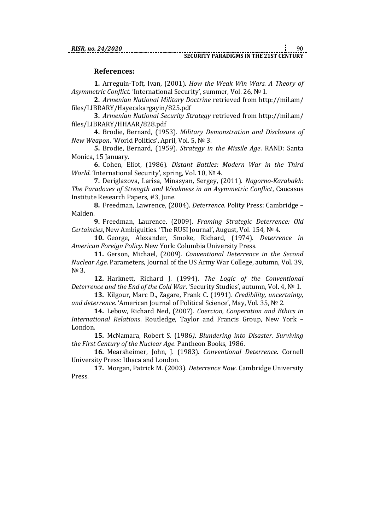# **References:**

**1.** Arreguin-Toft, Ivan, (2001). *How the Weak Win Wars. A Theory of Asymmetric Conflict*. 'International Security', summer, Vol. 26, № 1.

**2.** *Armenian National Military Doctrine* retrieved from [http://mil.am/](http://mil.am/files/LIBRARY/Hayecakargayin/825.pdf) [files/LIBRARY/Hayecakargayin/825.pdf](http://mil.am/files/LIBRARY/Hayecakargayin/825.pdf)

**3.** *Armenian National Security Strategy* retrieved from http://mil.am/ files/LIBRARY/HHAAR/828.pdf

**4.** Brodie, Bernard, (1953). *Military Demonstration and Disclosure of New Weapon*. 'World Politics', April, Vol. 5, № 3.

**5.** Brodie, Bernard, (1959). *Strategy in the Missile Age*. RAND: Santa Monica, 15 January.

**6.** Cohen, Eliot, (1986). *Distant Battles: Modern War in the Third World.* 'International Security', spring, Vol. 10, Nº 4.

**7.** Deriglazova, Larisa, Minasyan, Sergey, (2011). *Nagorno-Karabakh: The Paradoxes of Strength and Weakness in an Asymmetric Conflict*, Caucasus Institute Research Papers, #3, June.

**8.** Freedman, Lawrence, (2004). *Deterrence.* Polity Press: Cambridge – Malden.

**9.** Freedman, Laurence. (2009). *Framing Strategic Deterrence: Old Certainties*, New Ambiguities. 'The RUSI Journal', August, Vol. 154, № 4.

**10.** George, Alexander, Smoke, Richard, (1974). *Deterrence in American Foreign Policy*. New York: Columbia University Press.

**11.** Gerson, Michael, (2009). *Conventional Deterrence in the Second Nuclear Age*. Parameters, Journal of the US Army War College, autumn, Vol. 39, N<sup>o</sup> 3.

**12.** Harknett, Richard J. (1994). *The Logic of the Conventional Deterrence and the End of the Cold War*. 'Security Studies', autumn, Vol. 4, № 1.

**13.** Kilgour, Marc D., Zagare, Frank C. (1991). *Credibility, uncertainty, and deterrence*. 'American Journal of Political Science', May, Vol. 35, № 2.

**14.** Lebow, Richard Ned, (2007). *Coercion, Cooperation and Ethics in International Relations*. Routledge, Taylor and Francis Group, New York – London.

**15.** McNamara, Robert S. (1986*)*. *Blundering into Disaster. Surviving the First Century of the Nuclear Age*. Pantheon Books, 1986.

**16.** Mearsheimer, John, J. (1983). *Conventional Deterrence*. Cornell University Press: Ithaca and London.

**17.** Morgan, Patrick M. (2003). *Deterrence Now*. Cambridge University Press.